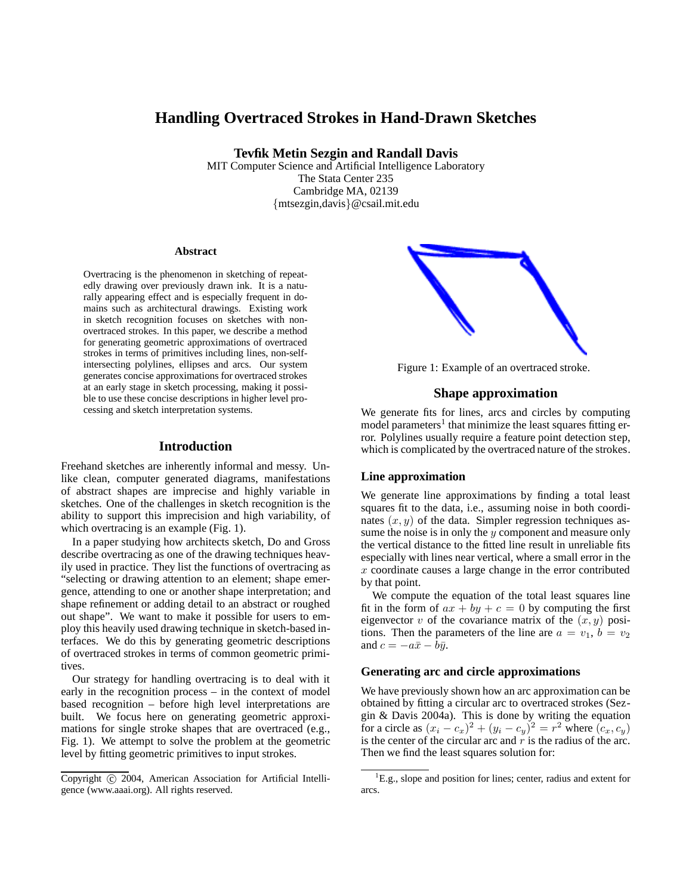# **Handling Overtraced Strokes in Hand-Drawn Sketches**

**Tevfik Metin Sezgin and Randall Davis**

MIT Computer Science and Artificial Intelligence Laboratory The Stata Center 235 Cambridge MA, 02139 {mtsezgin,davis}@csail.mit.edu

#### **Abstract**

Overtracing is the phenomenon in sketching of repeatedly drawing over previously drawn ink. It is a naturally appearing effect and is especially frequent in domains such as architectural drawings. Existing work in sketch recognition focuses on sketches with nonovertraced strokes. In this paper, we describe a method for generating geometric approximations of overtraced strokes in terms of primitives including lines, non-selfintersecting polylines, ellipses and arcs. Our system generates concise approximations for overtraced strokes at an early stage in sketch processing, making it possible to use these concise descriptions in higher level processing and sketch interpretation systems.

#### **Introduction**

Freehand sketches are inherently informal and messy. Unlike clean, computer generated diagrams, manifestations of abstract shapes are imprecise and highly variable in sketches. One of the challenges in sketch recognition is the ability to support this imprecision and high variability, of which overtracing is an example (Fig. 1).

In a paper studying how architects sketch, Do and Gross describe overtracing as one of the drawing techniques heavily used in practice. They list the functions of overtracing as "selecting or drawing attention to an element; shape emergence, attending to one or another shape interpretation; and shape refinement or adding detail to an abstract or roughed out shape". We want to make it possible for users to employ this heavily used drawing technique in sketch-based interfaces. We do this by generating geometric descriptions of overtraced strokes in terms of common geometric primitives.

Our strategy for handling overtracing is to deal with it early in the recognition process – in the context of model based recognition – before high level interpretations are built. We focus here on generating geometric approximations for single stroke shapes that are overtraced (e.g., Fig. 1). We attempt to solve the problem at the geometric level by fitting geometric primitives to input strokes.

Copyright (c) 2004, American Association for Artificial Intelligence (www.aaai.org). All rights reserved.

Figure 1: Example of an overtraced stroke.

## **Shape approximation**

We generate fits for lines, arcs and circles by computing model parameters<sup>1</sup> that minimize the least squares fitting error. Polylines usually require a feature point detection step, which is complicated by the overtraced nature of the strokes.

### **Line approximation**

We generate line approximations by finding a total least squares fit to the data, i.e., assuming noise in both coordinates  $(x, y)$  of the data. Simpler regression techniques assume the noise is in only the  $y$  component and measure only the vertical distance to the fitted line result in unreliable fits especially with lines near vertical, where a small error in the  $x$  coordinate causes a large change in the error contributed by that point.

We compute the equation of the total least squares line fit in the form of  $ax + by + c = 0$  by computing the first eigenvector v of the covariance matrix of the  $(x, y)$  positions. Then the parameters of the line are  $a = v_1, b = v_2$ and  $c = -a\bar{x} - b\bar{y}$ .

## **Generating arc and circle approximations**

We have previously shown how an arc approximation can be obtained by fitting a circular arc to overtraced strokes (Sezgin & Davis 2004a). This is done by writing the equation for a circle as  $(x_i - c_x)^2 + (y_i - c_y)^2 = r^2$  where  $(c_x, c_y)$ is the center of the circular arc and  $r$  is the radius of the arc. Then we find the least squares solution for:

 ${}^{1}E.g.,$  slope and position for lines; center, radius and extent for arcs.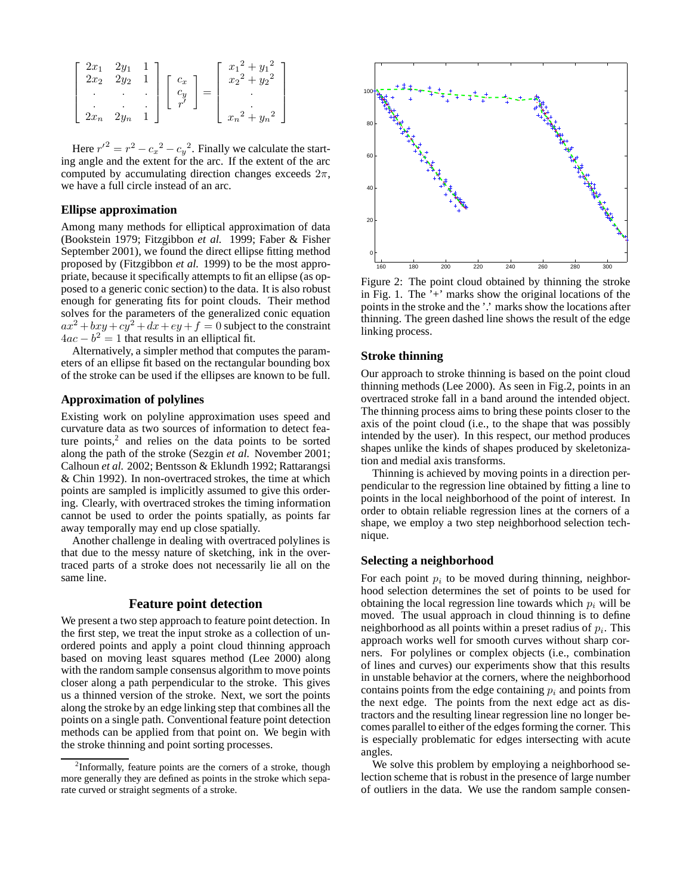$$
\begin{bmatrix} 2x_1 & 2y_1 & 1 \ 2x_2 & 2y_2 & 1 \ \cdot & \cdot & \cdot \ 2x_n & 2y_n & 1 \end{bmatrix} \begin{bmatrix} c_x \\ c_y \\ r' \end{bmatrix} = \begin{bmatrix} x_1^2 + y_1^2 \\ x_2^2 + y_2^2 \\ \cdot \\ \cdot \\ x_n^2 + y_n^2 \end{bmatrix}
$$

Here  $r^2 = r^2 - c_x^2 - c_y^2$ . Finally we calculate the starting angle and the extent for the arc. If the extent of the arc computed by accumulating direction changes exceeds  $2\pi$ , we have a full circle instead of an arc.

### **Ellipse approximation**

Among many methods for elliptical approximation of data (Bookstein 1979; Fitzgibbon *et al.* 1999; Faber & Fisher September 2001), we found the direct ellipse fitting method proposed by (Fitzgibbon *et al.* 1999) to be the most appropriate, because it specifically attempts to fit an ellipse (as opposed to a generic conic section) to the data. It is also robust enough for generating fits for point clouds. Their method solves for the parameters of the generalized conic equation  $ax^2 + bxy + cy^2 + dx + ey + f = 0$  subject to the constraint  $4ac - b<sup>2</sup> = 1$  that results in an elliptical fit.

Alternatively, a simpler method that computes the parameters of an ellipse fit based on the rectangular bounding box of the stroke can be used if the ellipses are known to be full.

#### **Approximation of polylines**

Existing work on polyline approximation uses speed and curvature data as two sources of information to detect feature points, $2$  and relies on the data points to be sorted along the path of the stroke (Sezgin *et al.* November 2001; Calhoun *et al.* 2002; Bentsson & Eklundh 1992; Rattarangsi & Chin 1992). In non-overtraced strokes, the time at which points are sampled is implicitly assumed to give this ordering. Clearly, with overtraced strokes the timing information cannot be used to order the points spatially, as points far away temporally may end up close spatially.

Another challenge in dealing with overtraced polylines is that due to the messy nature of sketching, ink in the overtraced parts of a stroke does not necessarily lie all on the same line.

### **Feature point detection**

We present a two step approach to feature point detection. In the first step, we treat the input stroke as a collection of unordered points and apply a point cloud thinning approach based on moving least squares method (Lee 2000) along with the random sample consensus algorithm to move points closer along a path perpendicular to the stroke. This gives us a thinned version of the stroke. Next, we sort the points along the stroke by an edge linking step that combines all the points on a single path. Conventional feature point detection methods can be applied from that point on. We begin with the stroke thinning and point sorting processes.



Figure 2: The point cloud obtained by thinning the stroke in Fig. 1. The '+' marks show the original locations of the points in the stroke and the '.' marks show the locations after thinning. The green dashed line shows the result of the edge linking process.

#### **Stroke thinning**

Our approach to stroke thinning is based on the point cloud thinning methods (Lee 2000). As seen in Fig.2, points in an overtraced stroke fall in a band around the intended object. The thinning process aims to bring these points closer to the axis of the point cloud (i.e., to the shape that was possibly intended by the user). In this respect, our method produces shapes unlike the kinds of shapes produced by skeletonization and medial axis transforms.

Thinning is achieved by moving points in a direction perpendicular to the regression line obtained by fitting a line to points in the local neighborhood of the point of interest. In order to obtain reliable regression lines at the corners of a shape, we employ a two step neighborhood selection technique.

#### **Selecting a neighborhood**

For each point  $p_i$  to be moved during thinning, neighborhood selection determines the set of points to be used for obtaining the local regression line towards which  $p_i$  will be moved. The usual approach in cloud thinning is to define neighborhood as all points within a preset radius of  $p_i$ . This approach works well for smooth curves without sharp corners. For polylines or complex objects (i.e., combination of lines and curves) our experiments show that this results in unstable behavior at the corners, where the neighborhood contains points from the edge containing  $p_i$  and points from the next edge. The points from the next edge act as distractors and the resulting linear regression line no longer becomes parallel to either of the edges forming the corner. This is especially problematic for edges intersecting with acute angles.

We solve this problem by employing a neighborhood selection scheme that is robust in the presence of large number of outliers in the data. We use the random sample consen-

<sup>&</sup>lt;sup>2</sup>Informally, feature points are the corners of a stroke, though more generally they are defined as points in the stroke which separate curved or straight segments of a stroke.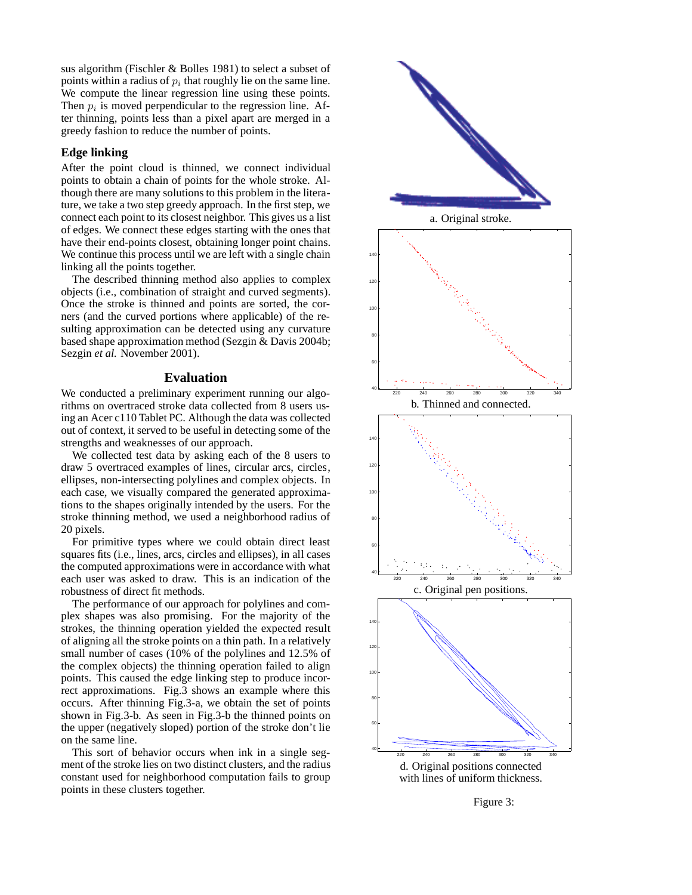sus algorithm (Fischler & Bolles 1981) to select a subset of points within a radius of  $p_i$  that roughly lie on the same line. We compute the linear regression line using these points. Then  $p_i$  is moved perpendicular to the regression line. After thinning, points less than a pixel apart are merged in a greedy fashion to reduce the number of points.

## **Edge linking**

After the point cloud is thinned, we connect individual points to obtain a chain of points for the whole stroke. Although there are many solutions to this problem in the literature, we take a two step greedy approach. In the first step, we connect each point to its closest neighbor. This gives us a list of edges. We connect these edges starting with the ones that have their end-points closest, obtaining longer point chains. We continue this process until we are left with a single chain linking all the points together.

The described thinning method also applies to complex objects (i.e., combination of straight and curved segments). Once the stroke is thinned and points are sorted, the corners (and the curved portions where applicable) of the resulting approximation can be detected using any curvature based shape approximation method (Sezgin & Davis 2004b; Sezgin *et al.* November 2001).

### **Evaluation**

We conducted a preliminary experiment running our algorithms on overtraced stroke data collected from 8 users using an Acer c110 Tablet PC. Although the data was collected out of context, it served to be useful in detecting some of the strengths and weaknesses of our approach.

We collected test data by asking each of the 8 users to draw 5 overtraced examples of lines, circular arcs, circles, ellipses, non-intersecting polylines and complex objects. In each case, we visually compared the generated approximations to the shapes originally intended by the users. For the stroke thinning method, we used a neighborhood radius of 20 pixels.

For primitive types where we could obtain direct least squares fits (i.e., lines, arcs, circles and ellipses), in all cases the computed approximations were in accordance with what each user was asked to draw. This is an indication of the robustness of direct fit methods.

The performance of our approach for polylines and complex shapes was also promising. For the majority of the strokes, the thinning operation yielded the expected result of aligning all the stroke points on a thin path. In a relatively small number of cases (10% of the polylines and 12.5% of the complex objects) the thinning operation failed to align points. This caused the edge linking step to produce incorrect approximations. Fig.3 shows an example where this occurs. After thinning Fig.3-a, we obtain the set of points shown in Fig.3-b. As seen in Fig.3-b the thinned points on the upper (negatively sloped) portion of the stroke don't lie on the same line.

This sort of behavior occurs when ink in a single segment of the stroke lies on two distinct clusters, and the radius constant used for neighborhood computation fails to group points in these clusters together.



d. Original positions connected with lines of uniform thickness.

Figure 3: